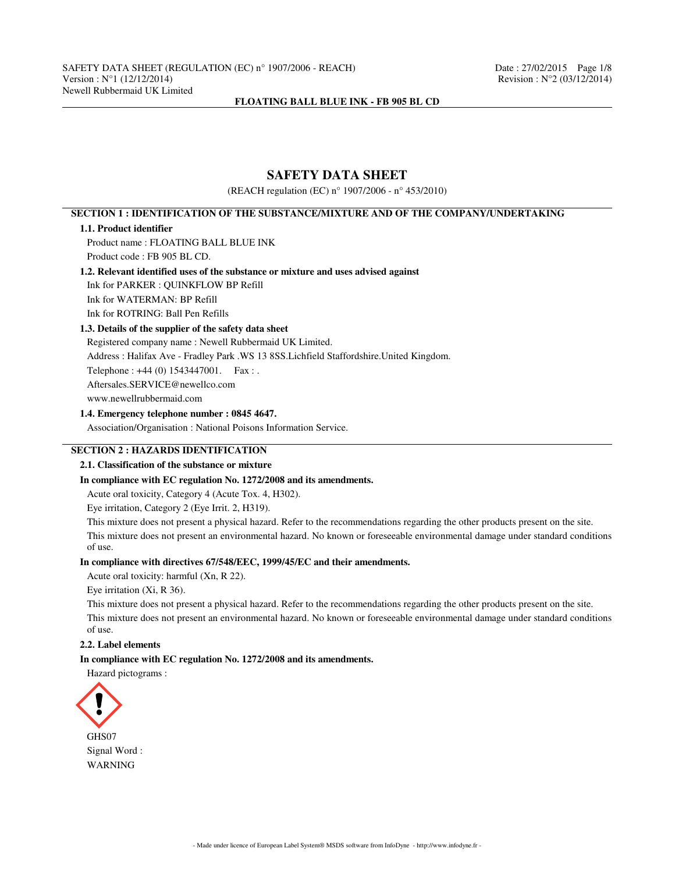# **SAFETY DATA SHEET**

(REACH regulation (EC) n° 1907/2006 - n° 453/2010)

# **SECTION 1 : IDENTIFICATION OF THE SUBSTANCE/MIXTURE AND OF THE COMPANY/UNDERTAKING**

#### **1.1. Product identifier**

Product name : FLOATING BALL BLUE INK Product code : FB 905 BL CD.

## **1.2. Relevant identified uses of the substance or mixture and uses advised against**

Ink for PARKER : QUINKFLOW BP Refill

Ink for WATERMAN: BP Refill

Ink for ROTRING: Ball Pen Refills

# **1.3. Details of the supplier of the safety data sheet**

Registered company name : Newell Rubbermaid UK Limited. Address : Halifax Ave - Fradley Park .WS 13 8SS.Lichfield Staffordshire.United Kingdom. Telephone : +44 (0) 1543447001. Fax : . Aftersales.SERVICE@newellco.com www.newellrubbermaid.com

# **1.4. Emergency telephone number : 0845 4647.**

Association/Organisation : National Poisons Information Service.

# **SECTION 2 : HAZARDS IDENTIFICATION**

## **2.1. Classification of the substance or mixture**

## **In compliance with EC regulation No. 1272/2008 and its amendments.**

Acute oral toxicity, Category 4 (Acute Tox. 4, H302).

Eye irritation, Category 2 (Eye Irrit. 2, H319).

This mixture does not present a physical hazard. Refer to the recommendations regarding the other products present on the site.

This mixture does not present an environmental hazard. No known or foreseeable environmental damage under standard conditions of use.

## **In compliance with directives 67/548/EEC, 1999/45/EC and their amendments.**

Acute oral toxicity: harmful (Xn, R 22).

Eye irritation (Xi, R 36).

This mixture does not present a physical hazard. Refer to the recommendations regarding the other products present on the site. This mixture does not present an environmental hazard. No known or foreseeable environmental damage under standard conditions of use.

#### **2.2. Label elements**

#### **In compliance with EC regulation No. 1272/2008 and its amendments.**

Hazard pictograms :

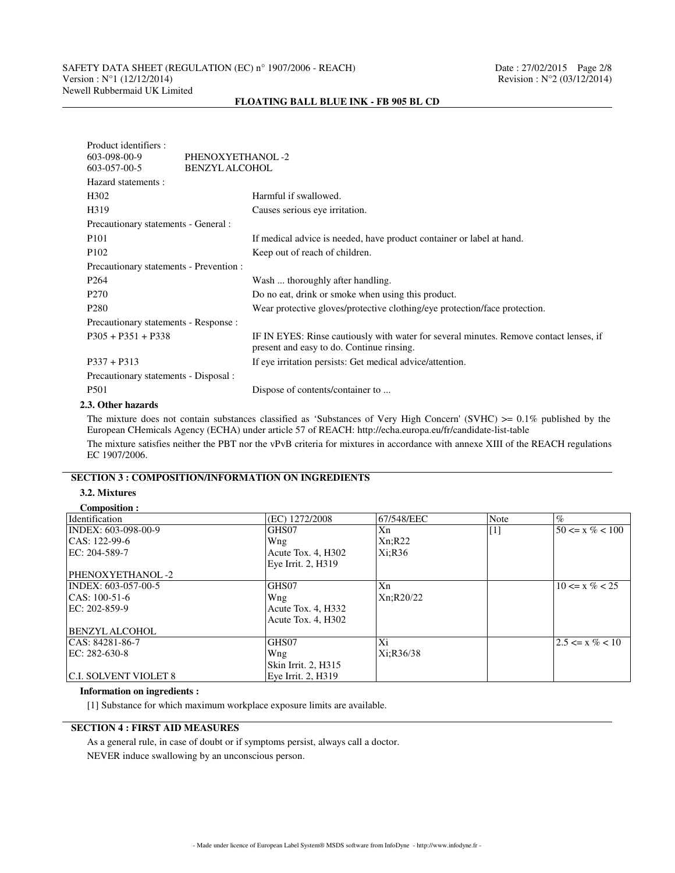# SAFETY DATA SHEET (REGULATION (EC) n° 1907/2006 - REACH) Date : 27/02/2015 Page 2/8<br>Version : N°1 (12/12/2014) Revision : N°2 (03/12/2014) Newell Rubbermaid UK Limited

# Product identifiers :<br>603-098-00-9 PHENOXYETHANOL -2 603-057-00-5 BENZYL ALCOHOL Hazard statements : H302 Harmful if swallowed. H319 Causes serious eye irritation. Precautionary statements - General : P101 If medical advice is needed, have product container or label at hand. P102 Keep out of reach of children. Precautionary statements - Prevention : P264 Wash ... thoroughly after handling. P270 Do no eat, drink or smoke when using this product. P280 Wear protective gloves/protective clothing/eye protection/face protection. Precautionary statements - Response : P305 + P351 + P338 IF IN EYES: Rinse cautiously with water for several minutes. Remove contact lenses, if present and easy to do. Continue rinsing. P337 + P313 If eye irritation persists: Get medical advice/attention. Precautionary statements - Disposal : P501 Dispose of contents/container to ...

#### **FLOATING BALL BLUE INK - FB 905 BL CD**

#### **2.3. Other hazards**

The mixture does not contain substances classified as 'Substances of Very High Concern' (SVHC)  $\geq 0.1\%$  published by the European CHemicals Agency (ECHA) under article 57 of REACH: http://echa.europa.eu/fr/candidate-list-table

The mixture satisfies neither the PBT nor the vPvB criteria for mixtures in accordance with annexe XIII of the REACH regulations EC 1907/2006.

# **SECTION 3 : COMPOSITION/INFORMATION ON INGREDIENTS**

# **3.2. Mixtures**

#### **Composition :**

| Identification               | (EC) 1272/2008      | 67/548/EEC | Note              | $\%$                |
|------------------------------|---------------------|------------|-------------------|---------------------|
| INDEX: 603-098-00-9          | GHS07               | Xn         | $\lceil 1 \rceil$ | $50 \le x \% < 100$ |
| $ CAS: 122-99-6$             | Wng                 | Xn; R22    |                   |                     |
| EC: 204-589-7                | Acute Tox. 4, H302  | Xi; R36    |                   |                     |
|                              | Eye Irrit. 2, H319  |            |                   |                     |
| PHENOXYETHANOL -2            |                     |            |                   |                     |
| INDEX: 603-057-00-5          | GHS07               | Xn         |                   | $10 \le x \% < 25$  |
| $ CAS: 100-51-6$             | Wng                 | Xn; R20/22 |                   |                     |
| EC: 202-859-9                | Acute Tox. 4, H332  |            |                   |                     |
|                              | Acute Tox. 4, H302  |            |                   |                     |
| <b>BENZYL ALCOHOL</b>        |                     |            |                   |                     |
| CAS: 84281-86-7              | GHS07               | Xi         |                   | $2.5 \le x \% < 10$ |
| EC: 282-630-8                | Wng                 | Xi:R36/38  |                   |                     |
|                              | Skin Irrit. 2, H315 |            |                   |                     |
| <b>C.I. SOLVENT VIOLET 8</b> | Eye Irrit. 2, H319  |            |                   |                     |

#### **Information on ingredients :**

[1] Substance for which maximum workplace exposure limits are available.

# **SECTION 4 : FIRST AID MEASURES**

As a general rule, in case of doubt or if symptoms persist, always call a doctor. NEVER induce swallowing by an unconscious person.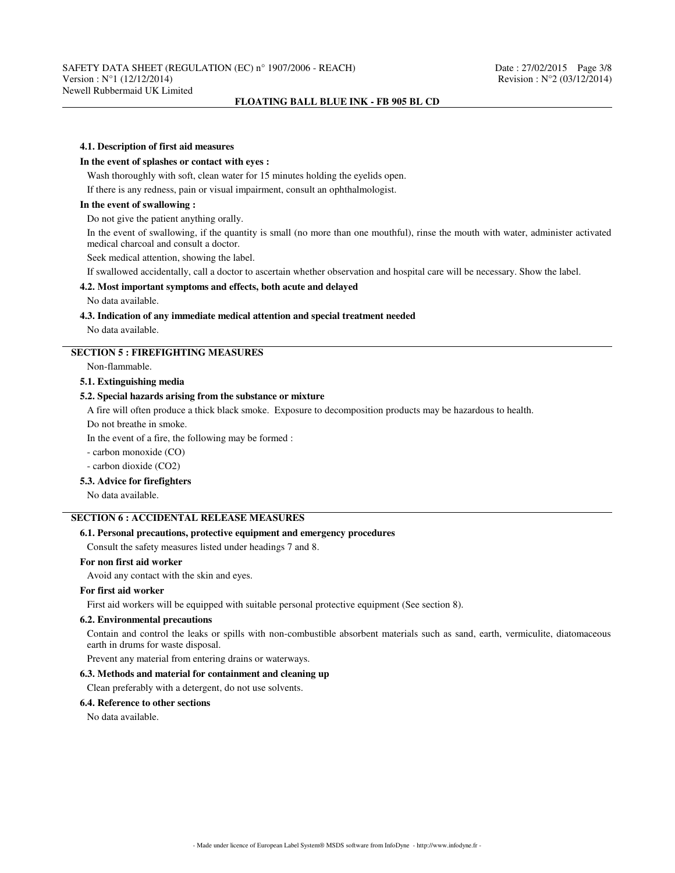#### **4.1. Description of first aid measures**

#### **In the event of splashes or contact with eyes :**

Wash thoroughly with soft, clean water for 15 minutes holding the eyelids open.

If there is any redness, pain or visual impairment, consult an ophthalmologist.

## **In the event of swallowing :**

Do not give the patient anything orally.

In the event of swallowing, if the quantity is small (no more than one mouthful), rinse the mouth with water, administer activated medical charcoal and consult a doctor.

Seek medical attention, showing the label.

If swallowed accidentally, call a doctor to ascertain whether observation and hospital care will be necessary. Show the label.

## **4.2. Most important symptoms and effects, both acute and delayed**

No data available.

#### **4.3. Indication of any immediate medical attention and special treatment needed**

No data available.

# **SECTION 5 : FIREFIGHTING MEASURES**

Non-flammable.

#### **5.1. Extinguishing media**

## **5.2. Special hazards arising from the substance or mixture**

A fire will often produce a thick black smoke. Exposure to decomposition products may be hazardous to health.

Do not breathe in smoke.

In the event of a fire, the following may be formed :

- carbon monoxide (CO)

- carbon dioxide (CO2)

#### **5.3. Advice for firefighters**

No data available.

## **SECTION 6 : ACCIDENTAL RELEASE MEASURES**

## **6.1. Personal precautions, protective equipment and emergency procedures**

Consult the safety measures listed under headings 7 and 8.

## **For non first aid worker**

Avoid any contact with the skin and eyes.

#### **For first aid worker**

First aid workers will be equipped with suitable personal protective equipment (See section 8).

#### **6.2. Environmental precautions**

Contain and control the leaks or spills with non-combustible absorbent materials such as sand, earth, vermiculite, diatomaceous earth in drums for waste disposal.

Prevent any material from entering drains or waterways.

## **6.3. Methods and material for containment and cleaning up**

Clean preferably with a detergent, do not use solvents.

#### **6.4. Reference to other sections**

No data available.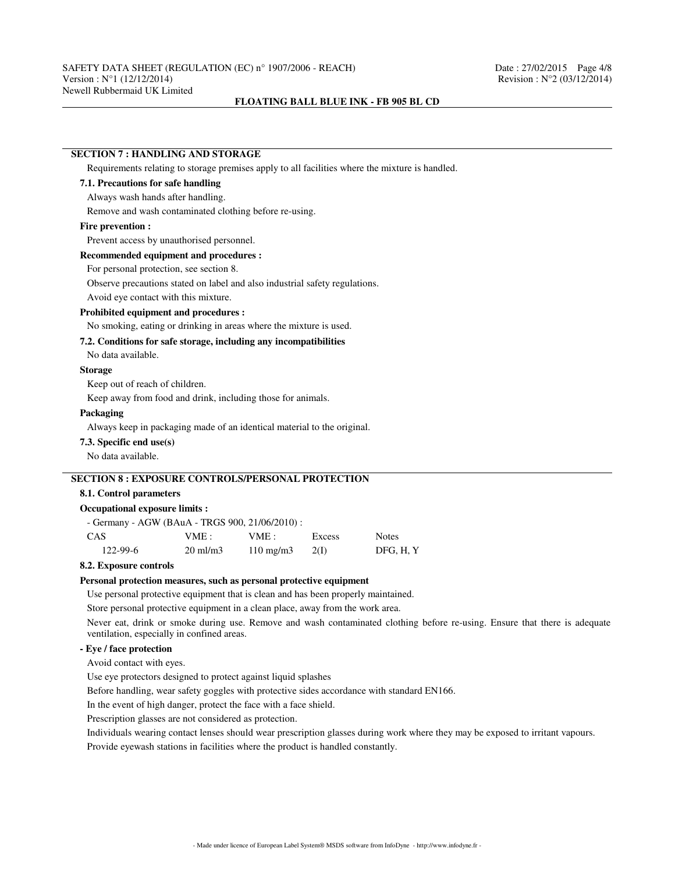#### **SECTION 7 : HANDLING AND STORAGE**

Requirements relating to storage premises apply to all facilities where the mixture is handled.

## **7.1. Precautions for safe handling**

#### Always wash hands after handling.

Remove and wash contaminated clothing before re-using.

#### **Fire prevention :**

Prevent access by unauthorised personnel.

## **Recommended equipment and procedures :**

For personal protection, see section 8.

Observe precautions stated on label and also industrial safety regulations.

Avoid eye contact with this mixture.

### **Prohibited equipment and procedures :**

No smoking, eating or drinking in areas where the mixture is used.

## **7.2. Conditions for safe storage, including any incompatibilities**

No data available.

# **Storage**

Keep out of reach of children.

Keep away from food and drink, including those for animals.

#### **Packaging**

Always keep in packaging made of an identical material to the original.

## **7.3. Specific end use(s)**

No data available.

# **SECTION 8 : EXPOSURE CONTROLS/PERSONAL PROTECTION**

#### **8.1. Control parameters**

# **Occupational exposure limits :**

| - Germany - AGW (BAuA - TRGS 900, 21/06/2010) : |                     |                    |        |              |
|-------------------------------------------------|---------------------|--------------------|--------|--------------|
| CAS                                             | VME :               | VME :              | Excess | <b>Notes</b> |
| $122 - 99 - 6$                                  | $20 \text{ ml/m}$ 3 | $110 \text{ mg/m}$ | -2(1)  | DFG. H. Y    |

# **8.2. Exposure controls**

#### **Personal protection measures, such as personal protective equipment**

Use personal protective equipment that is clean and has been properly maintained.

Store personal protective equipment in a clean place, away from the work area.

Never eat, drink or smoke during use. Remove and wash contaminated clothing before re-using. Ensure that there is adequate ventilation, especially in confined areas.

# **- Eye / face protection**

Avoid contact with eyes.

Use eye protectors designed to protect against liquid splashes

Before handling, wear safety goggles with protective sides accordance with standard EN166.

In the event of high danger, protect the face with a face shield.

Prescription glasses are not considered as protection.

Individuals wearing contact lenses should wear prescription glasses during work where they may be exposed to irritant vapours.

Provide eyewash stations in facilities where the product is handled constantly.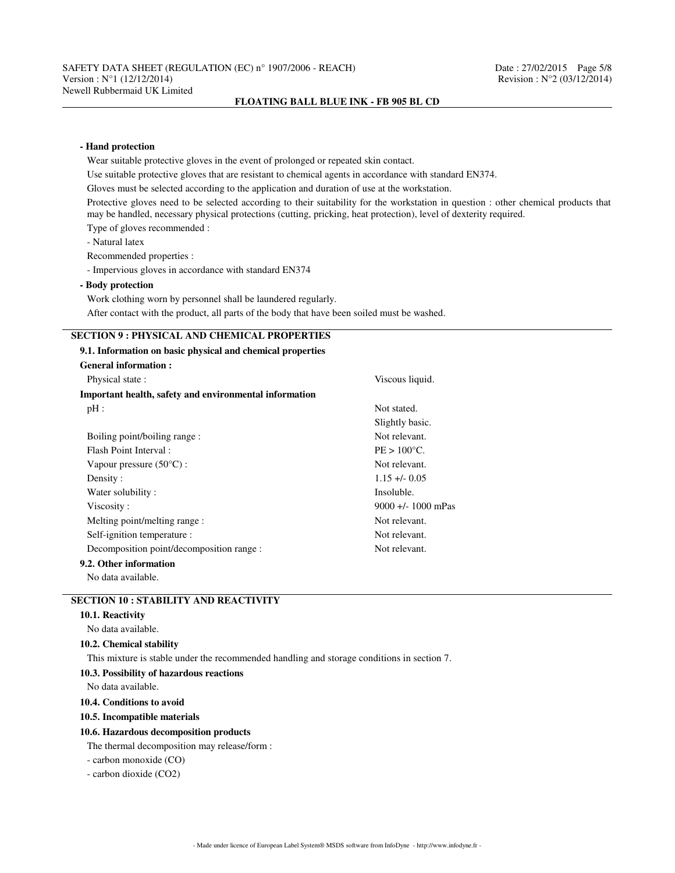# **- Hand protection** Wear suitable protective gloves in the event of prolonged or repeated skin contact. Use suitable protective gloves that are resistant to chemical agents in accordance with standard EN374. Gloves must be selected according to the application and duration of use at the workstation. Protective gloves need to be selected according to their suitability for the workstation in question : other chemical products that may be handled, necessary physical protections (cutting, pricking, heat protection), level of dexterity required. Type of gloves recommended : - Natural latex Recommended properties : - Impervious gloves in accordance with standard EN374 **- Body protection** Work clothing worn by personnel shall be laundered regularly. After contact with the product, all parts of the body that have been soiled must be washed. **SECTION 9 : PHYSICAL AND CHEMICAL PROPERTIES 9.1. Information on basic physical and chemical properties General information :** Physical state : Viscous liquid. **Important health, safety and environmental information** pH : Not stated. Slightly basic. Boiling point/boiling range : Not relevant. Flash Point Interval : PE > 100°C. Vapour pressure (50°C) : Not relevant. Density : 1.15 +/- 0.05 Water solubility : Insoluble. Viscosity : 9000 +/- 1000 mPas Melting point/melting range : Not relevant. Self-ignition temperature : Not relevant. Decomposition point/decomposition range : Not relevant. **9.2. Other information** No data available.

# **SECTION 10 : STABILITY AND REACTIVITY**

|  | 10.1. Reactivity |
|--|------------------|
|--|------------------|

#### No data available.

## **10.2. Chemical stability**

This mixture is stable under the recommended handling and storage conditions in section 7.

## **10.3. Possibility of hazardous reactions**

No data available.

**10.4. Conditions to avoid**

#### **10.5. Incompatible materials**

#### **10.6. Hazardous decomposition products**

The thermal decomposition may release/form :

- carbon monoxide (CO)

- carbon dioxide (CO2)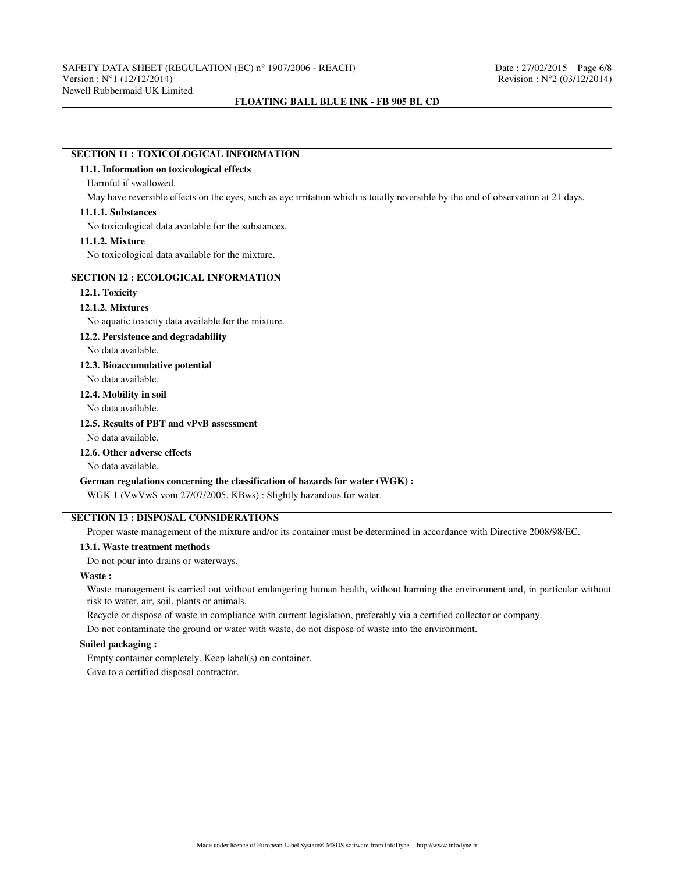## **SECTION 11 : TOXICOLOGICAL INFORMATION**

#### **11.1. Information on toxicological effects**

## Harmful if swallowed.

May have reversible effects on the eyes, such as eye irritation which is totally reversible by the end of observation at 21 days.

#### **11.1.1. Substances**

No toxicological data available for the substances.

#### **11.1.2. Mixture**

No toxicological data available for the mixture.

# **SECTION 12 : ECOLOGICAL INFORMATION**

## **12.1. Toxicity**

#### **12.1.2. Mixtures**

No aquatic toxicity data available for the mixture.

#### **12.2. Persistence and degradability**

No data available.

#### **12.3. Bioaccumulative potential**

No data available.

#### **12.4. Mobility in soil**

No data available.

# **12.5. Results of PBT and vPvB assessment**

No data available.

## **12.6. Other adverse effects**

No data available.

#### **German regulations concerning the classification of hazards for water (WGK) :**

WGK 1 (VwVwS vom 27/07/2005, KBws) : Slightly hazardous for water.

## **SECTION 13 : DISPOSAL CONSIDERATIONS**

Proper waste management of the mixture and/or its container must be determined in accordance with Directive 2008/98/EC.

## **13.1. Waste treatment methods**

Do not pour into drains or waterways.

#### **Waste :**

Waste management is carried out without endangering human health, without harming the environment and, in particular without risk to water, air, soil, plants or animals.

Recycle or dispose of waste in compliance with current legislation, preferably via a certified collector or company.

Do not contaminate the ground or water with waste, do not dispose of waste into the environment.

# **Soiled packaging :**

Empty container completely. Keep label(s) on container.

Give to a certified disposal contractor.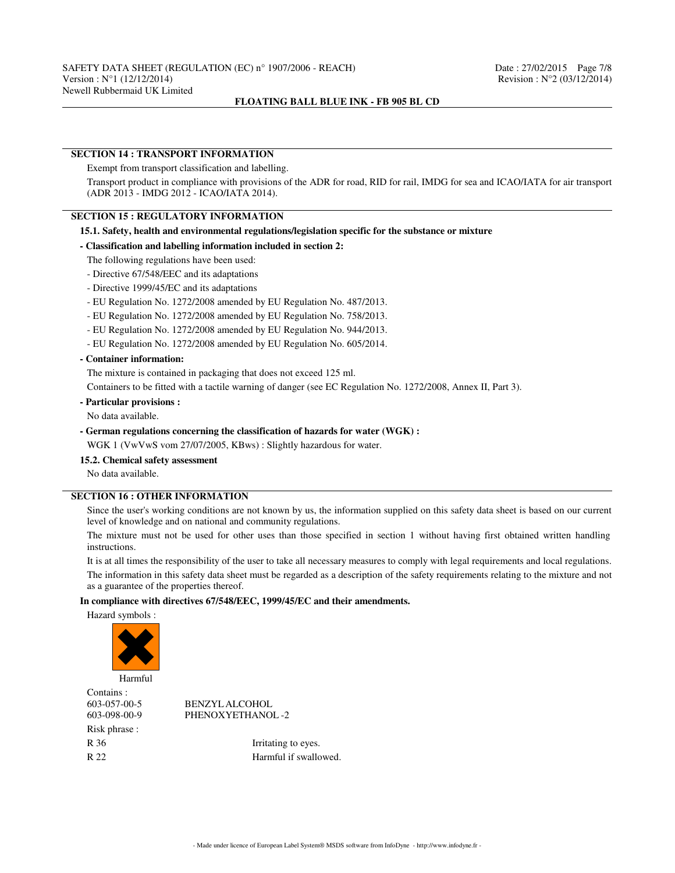#### **SECTION 14 : TRANSPORT INFORMATION**

Exempt from transport classification and labelling.

Transport product in compliance with provisions of the ADR for road, RID for rail, IMDG for sea and ICAO/IATA for air transport (ADR 2013 - IMDG 2012 - ICAO/IATA 2014).

#### **SECTION 15 : REGULATORY INFORMATION**

## **15.1. Safety, health and environmental regulations/legislation specific for the substance or mixture**

#### **- Classification and labelling information included in section 2:**

- The following regulations have been used:
- Directive 67/548/EEC and its adaptations
- Directive 1999/45/EC and its adaptations
- EU Regulation No. 1272/2008 amended by EU Regulation No. 487/2013.
- EU Regulation No. 1272/2008 amended by EU Regulation No. 758/2013.
- EU Regulation No. 1272/2008 amended by EU Regulation No. 944/2013.
- EU Regulation No. 1272/2008 amended by EU Regulation No. 605/2014.

# **- Container information:**

The mixture is contained in packaging that does not exceed 125 ml.

Containers to be fitted with a tactile warning of danger (see EC Regulation No. 1272/2008, Annex II, Part 3).

**- Particular provisions :**

No data available.

**- German regulations concerning the classification of hazards for water (WGK) :**

WGK 1 (VwVwS vom 27/07/2005, KBws) : Slightly hazardous for water.

## **15.2. Chemical safety assessment**

No data available.

# **SECTION 16 : OTHER INFORMATION**

Since the user's working conditions are not known by us, the information supplied on this safety data sheet is based on our current level of knowledge and on national and community regulations.

The mixture must not be used for other uses than those specified in section 1 without having first obtained written handling instructions.

It is at all times the responsibility of the user to take all necessary measures to comply with legal requirements and local regulations. The information in this safety data sheet must be regarded as a description of the safety requirements relating to the mixture and not as a guarantee of the properties thereof.

#### **In compliance with directives 67/548/EEC, 1999/45/EC and their amendments.**

Hazard symbols :



Contains : Risk phrase :

603-057-00-5 BENZYL ALCOHOL 603-098-00-9 PHENOXYETHANOL -2

R 36 Irritating to eyes. R 22 Harmful if swallowed.